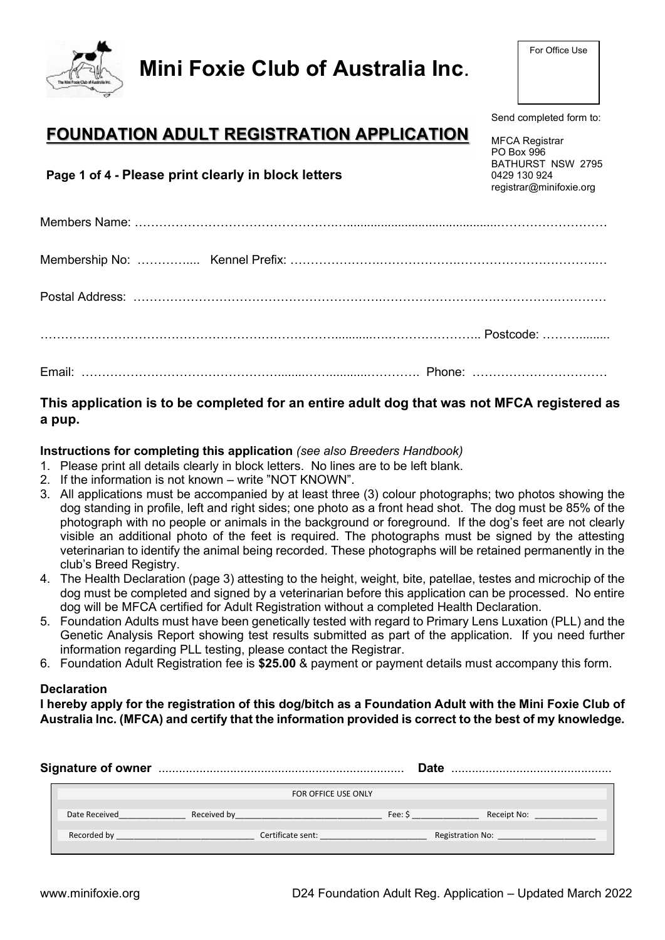Mini Foxie Club of Australia Inc.

# FOUNDATION ADULT REGISTRATION APPLICATION

Page 1 of 4 - Please print clearly in block letters

## This application is to be completed for an entire adult dog that was not MFCA registered as a pup.

### Instructions for completing this application (see also Breeders Handbook)

- 1. Please print all details clearly in block letters. No lines are to be left blank.
- 2. If the information is not known write "NOT KNOWN".
- 3. All applications must be accompanied by at least three (3) colour photographs; two photos showing the dog standing in profile, left and right sides; one photo as a front head shot. The dog must be 85% of the photograph with no people or animals in the background or foreground. If the dog's feet are not clearly visible an additional photo of the feet is required. The photographs must be signed by the attesting veterinarian to identify the animal being recorded. These photographs will be retained permanently in the club's Breed Registry.
- 4. The Health Declaration (page 3) attesting to the height, weight, bite, patellae, testes and microchip of the dog must be completed and signed by a veterinarian before this application can be processed. No entire dog will be MFCA certified for Adult Registration without a completed Health Declaration.
- 5. Foundation Adults must have been genetically tested with regard to Primary Lens Luxation (PLL) and the Genetic Analysis Report showing test results submitted as part of the application. If you need further information regarding PLL testing, please contact the Registrar.
- 6. Foundation Adult Registration fee is \$25.00 & payment or payment details must accompany this form.

### **Declaration**

I hereby apply for the registration of this dog/bitch as a Foundation Adult with the Mini Foxie Club of Australia Inc. (MFCA) and certify that the information provided is correct to the best of my knowledge.

|               |             |                     |         | <b>Date</b>      |
|---------------|-------------|---------------------|---------|------------------|
|               |             | FOR OFFICE USE ONLY |         |                  |
| Date Received | Received by |                     | Fee: \$ | Receipt No:      |
| Recorded by   |             | Certificate sent:   |         | Registration No: |



Send completed form to:

MFCA Registrar PO Box 996 BATHURST NSW 2795 0429 130 924 registrar@minifoxie.org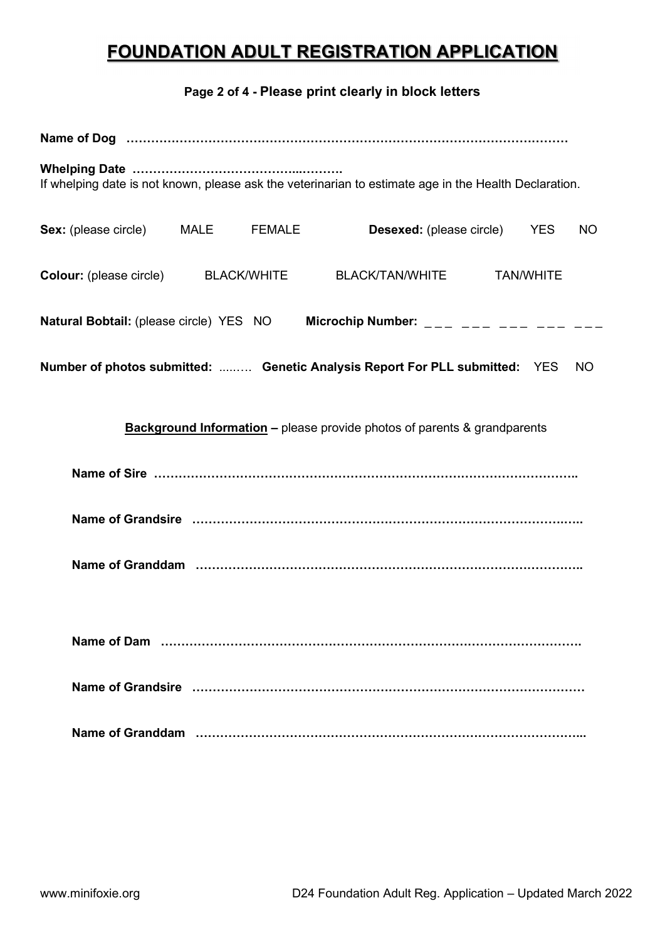# FOUNDATION ADULT REGISTRATION APPLICATION

Page 2 of 4 - Please print clearly in block letters

| If whelping date is not known, please ask the veterinarian to estimate age in the Health Declaration. |  |  |  |                                     |  |                  |           |
|-------------------------------------------------------------------------------------------------------|--|--|--|-------------------------------------|--|------------------|-----------|
| <b>Sex:</b> (please circle) MALE FEMALE                                                               |  |  |  | <b>Desexed:</b> (please circle) YES |  |                  | <b>NO</b> |
| <b>Colour:</b> (please circle) BLACK/WHITE                                                            |  |  |  | <b>BLACK/TAN/WHITE</b>              |  | <b>TAN/WHITE</b> |           |
| Natural Bobtail: (please circle) YES NO Microchip Number: ___ ___ ___ ___ ___                         |  |  |  |                                     |  |                  |           |
| Number of photos submitted:  Genetic Analysis Report For PLL submitted: YES                           |  |  |  |                                     |  |                  | <b>NO</b> |
| <b>Background Information –</b> please provide photos of parents & grandparents                       |  |  |  |                                     |  |                  |           |
|                                                                                                       |  |  |  |                                     |  |                  |           |
|                                                                                                       |  |  |  |                                     |  |                  |           |
|                                                                                                       |  |  |  |                                     |  |                  |           |
|                                                                                                       |  |  |  |                                     |  |                  |           |
|                                                                                                       |  |  |  |                                     |  |                  |           |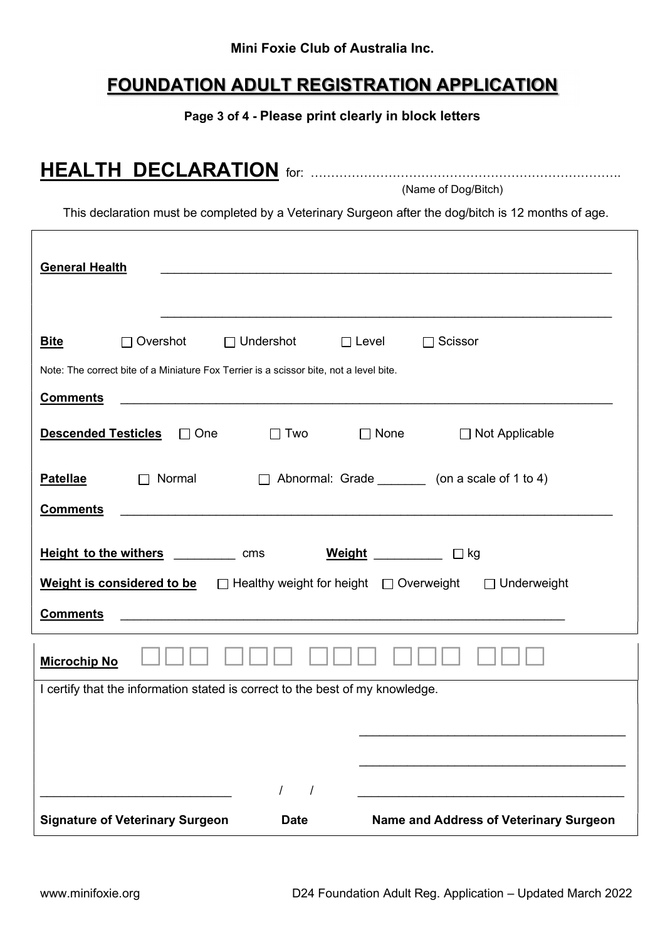### Mini Foxie Club of Australia Inc.

## FOUNDATION ADULT REGISTRATION APPLICATION

Page 3 of 4 - Please print clearly in block letters

HEALTH DECLARATION for: ………………………………………………………………….

|                                                                                        |          |            |                  |              | (Name of Dog/Bitch)                                                                                 |  |
|----------------------------------------------------------------------------------------|----------|------------|------------------|--------------|-----------------------------------------------------------------------------------------------------|--|
|                                                                                        |          |            |                  |              | This declaration must be completed by a Veterinary Surgeon after the dog/bitch is 12 months of age. |  |
| <b>General Health</b>                                                                  |          |            |                  |              |                                                                                                     |  |
| <b>Bite</b>                                                                            | Overshot |            | $\Box$ Undershot | $\Box$ Level | Scissor                                                                                             |  |
| Note: The correct bite of a Miniature Fox Terrier is a scissor bite, not a level bite. |          |            |                  |              |                                                                                                     |  |
| <b>Comments</b>                                                                        |          |            |                  |              |                                                                                                     |  |
| <b>Descended Testicles</b>                                                             |          | $\Box$ One | $\Box$ Two       | $\Box$ None  | □ Not Applicable                                                                                    |  |
| <b>Patellae</b>                                                                        |          | Normal     |                  |              | Abnormal: Grade (on a scale of 1 to 4)                                                              |  |
| <b>Comments</b>                                                                        |          |            |                  |              |                                                                                                     |  |
| <b>Height to the withers</b>                                                           |          |            | cms              | Weight       | □ kg                                                                                                |  |

| <b>Comments</b>                                                               |             |                                               |
|-------------------------------------------------------------------------------|-------------|-----------------------------------------------|
| <b>Microchip No</b>                                                           |             |                                               |
| I certify that the information stated is correct to the best of my knowledge. |             |                                               |
|                                                                               |             |                                               |
|                                                                               |             |                                               |
|                                                                               |             |                                               |
|                                                                               |             |                                               |
|                                                                               |             |                                               |
| <b>Signature of Veterinary Surgeon</b>                                        | <b>Date</b> | <b>Name and Address of Veterinary Surgeon</b> |

Weight is considered to be  $\Box$  Healthy weight for height  $\Box$  Overweight  $\Box$  Underweight